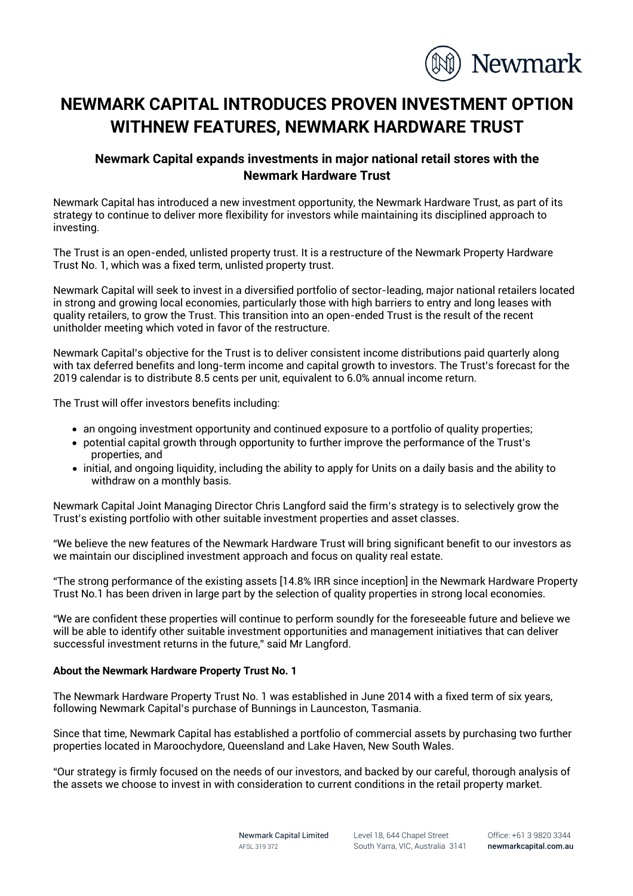

## **NEWMARK CAPITAL INTRODUCES PROVEN INVESTMENT OPTION WITHNEW FEATURES, NEWMARK HARDWARE TRUST**

## **Newmark Capital expands investments in major national retail stores with the Newmark Hardware Trust**

Newmark Capital has introduced a new investment opportunity, the Newmark Hardware Trust, as part of its strategy to continue to deliver more flexibility for investors while maintaining its disciplined approach to investing.

The Trust is an open-ended, unlisted property trust. It is a restructure of the Newmark Property Hardware Trust No. 1, which was a fixed term, unlisted property trust.

Newmark Capital will seek to invest in a diversified portfolio of sector-leading, major national retailers located in strong and growing local economies, particularly those with high barriers to entry and long leases with quality retailers, to grow the Trust. This transition into an open-ended Trust is the result of the recent unitholder meeting which voted in favor of the restructure.

Newmark Capital's objective for the Trust is to deliver consistent income distributions paid quarterly along with tax deferred benefits and long-term income and capital growth to investors. The Trust's forecast for the 2019 calendar is to distribute 8.5 cents per unit, equivalent to 6.0% annual income return.

The Trust will offer investors benefits including:

- an ongoing investment opportunity and continued exposure to a portfolio of quality properties;
- potential capital growth through opportunity to further improve the performance of the Trust's properties, and
- initial, and ongoing liquidity, including the ability to apply for Units on a daily basis and the ability to withdraw on a monthly basis.

Newmark Capital Joint Managing Director Chris Langford said the firm's strategy is to selectively grow the Trust's existing portfolio with other suitable investment properties and asset classes.

"We believe the new features of the Newmark Hardware Trust will bring significant benefit to our investors as we maintain our disciplined investment approach and focus on quality real estate.

"The strong performance of the existing assets [14.8% IRR since inception] in the Newmark Hardware Property Trust No.1 has been driven in large part by the selection of quality properties in strong local economies.

"We are confident these properties will continue to perform soundly for the foreseeable future and believe we will be able to identify other suitable investment opportunities and management initiatives that can deliver successful investment returns in the future," said Mr Langford.

## **About the Newmark Hardware Property Trust No. 1**

The Newmark Hardware Property Trust No. 1 was established in June 2014 with a fixed term of six years, following Newmark Capital's purchase of Bunnings in Launceston, Tasmania.

Since that time, Newmark Capital has established a portfolio of commercial assets by purchasing two further properties located in Maroochydore, Queensland and Lake Haven, New South Wales.

"Our strategy is firmly focused on the needs of our investors, and backed by our careful, thorough analysis of the assets we choose to invest in with consideration to current conditions in the retail property market.